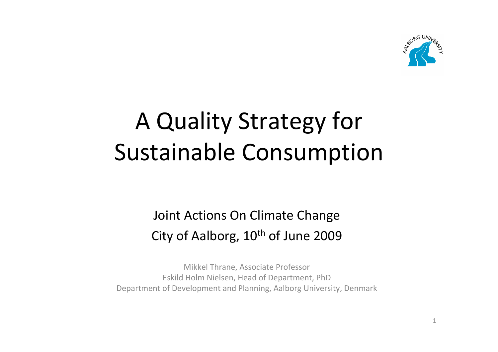

# A Quality Strategy for Sustainable Consumption

#### Joint Actions On Climate Change City of Aalborg,  $10<sup>th</sup>$  of June 2009

Mikkel Thrane, Associate Professor Eskild Holm Nielsen, Head of Department, PhD Department of Development and Planning, Aalborg University, Denmark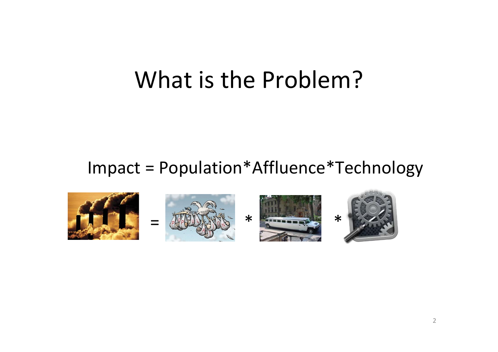## What is the Problem?

#### Impact <sup>=</sup> Population\*Affluence\*Technology

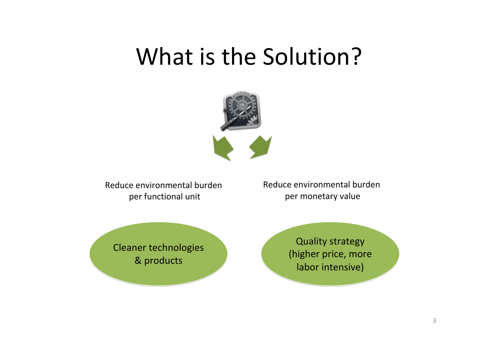## What is the Solution?



Reduce environmental burdenper functional unit

Reduce environmental burdenper monetary value

Cleaner technologies Cleaner technologies & products & products

Quality strategy Quality strategy (higher price, more (higher price, more labor intensive) labor intensive)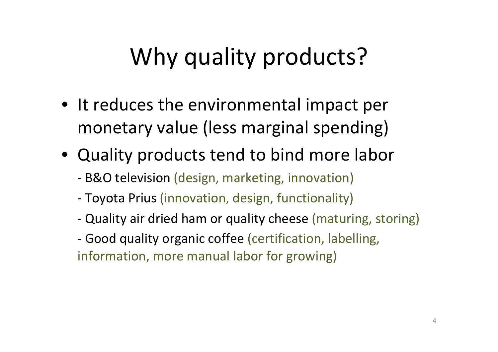# Why quality products?

- It reduces the environmental impact per monetary value (less marginal spending)
- Quality products tend to bind more labor
	- ‐ B&O television (design, marketing, innovation)
	- ‐Toyota Prius (innovation, design, functionality)
	- ‐Quality air dried ham or quality cheese (maturing, storing)
	- ‐ Good quality organic coffee (certification, labelling, information, more manual labor for growing)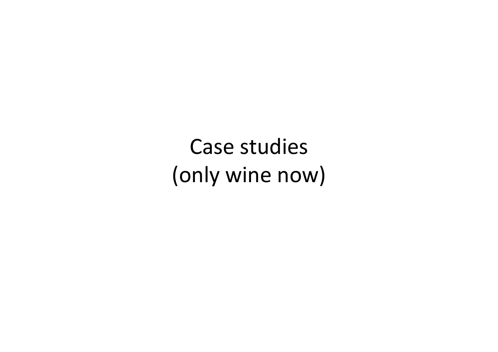Case studies (only wine now)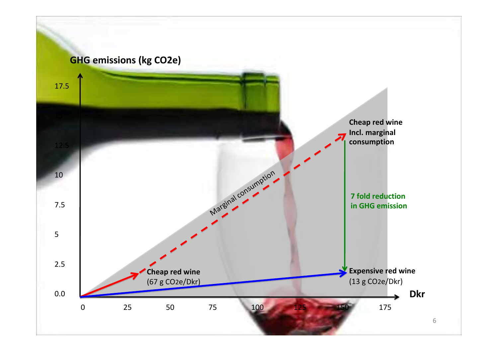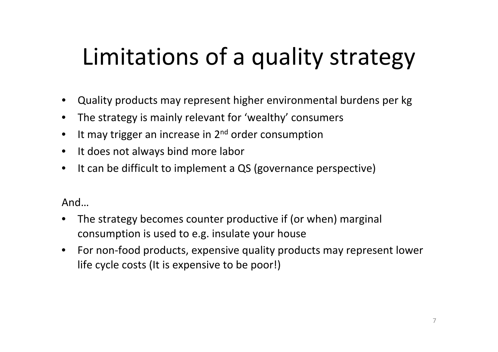# Limitations of <sup>a</sup> quality strategy

- Quality products may represent higher environmental burdens per kg
- The strategy is mainly relevant for 'wealthy' consumers
- $\bullet$  It may trigger an increase in 2<sup>nd</sup> order consumption
- It does not always bind more labor
- It can be difficult to implement <sup>a</sup> QS (governance perspective)

And…

- The strategy becomes counter productive if (or when) marginal consumption is used to e.g. insulate your house
- For non‐food products, expensive quality products may represent lower life cycle costs (It is expensive to be poor!)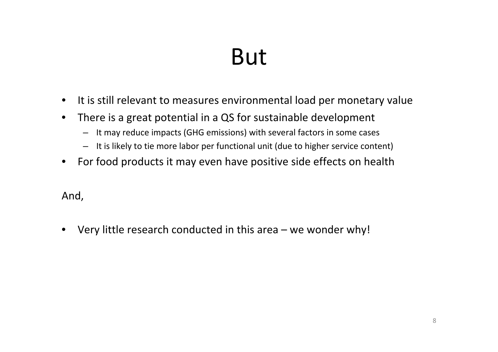# But

- It is still relevant to measures environmental load per monetary value
- There is <sup>a</sup> great potential in <sup>a</sup> QS for sustainable development
	- It may reduce impacts (GHG emissions) with several factors in some cases
	- It is likely to tie more labor per functional unit (due to higher service content)
- For food products it may even have positive side effects on health

And,

• Very little research conducted in this area – we wonder why!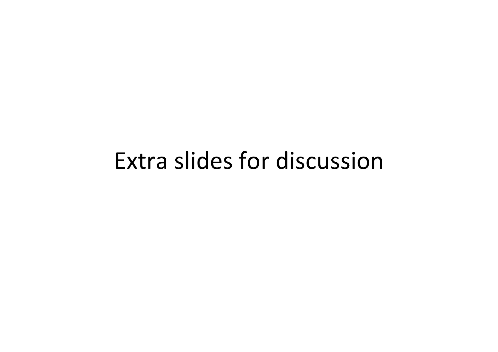#### Extra slides for discussion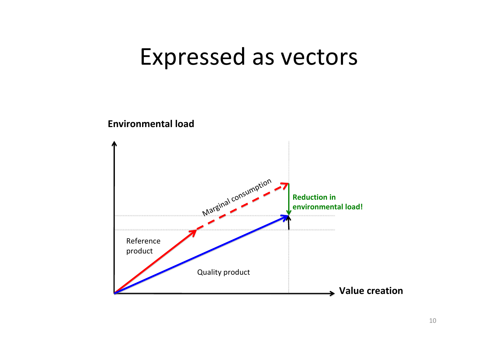### Expressed as vectors

#### **Environmental load**